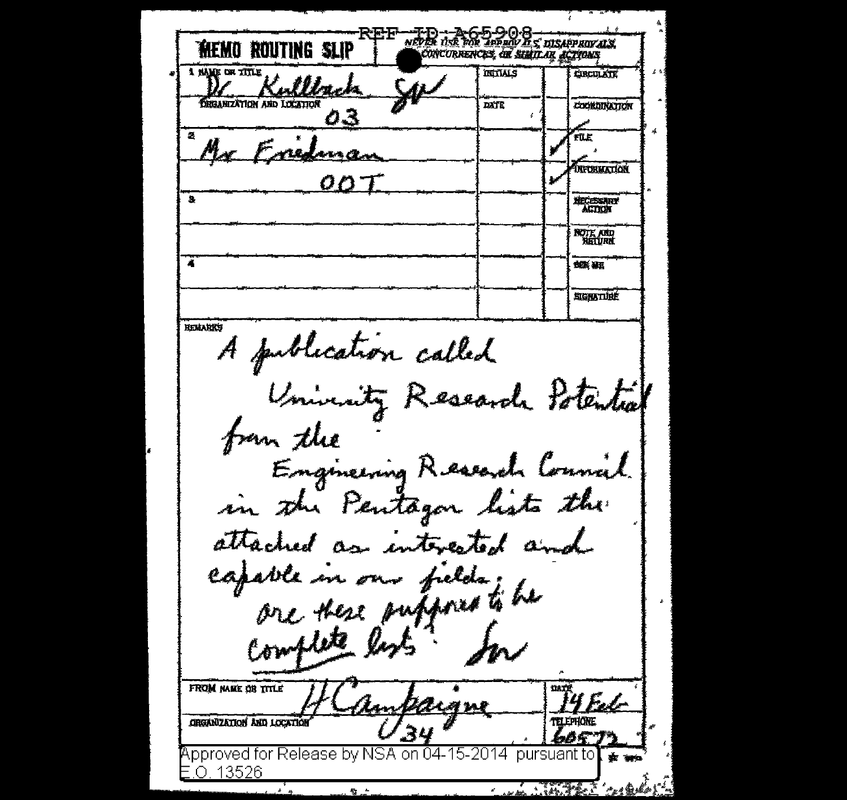NEVER USE TOP INPUNY IS DISAPPROVALS. MEMO ROUTING SLIP CONCURRENCES, AR SIMILAR ACTIONS 1 NAME OF TITLE **INITIALS CIRCULATE** Mack **DEGANIZATION AND LOCATION** DATE **COORDINATION** 03 ril F Fredma **INFORMATION** s **NECESSARY ACTION NOTE AND**<br>HETURK л 残業 基理 SIGNATURÉ **REMARKS** A publication called University Research Potential from the Engineering Research Connail. in the Pentagon lists the attached as interested and capable in our fields; he complete les FROM NAME OR TITLE **ORGANIZATION AND LOCATION** Approved for Release by NSA on 04-15-2014. pursuant to .O. 13526 *HARTHER THEAD*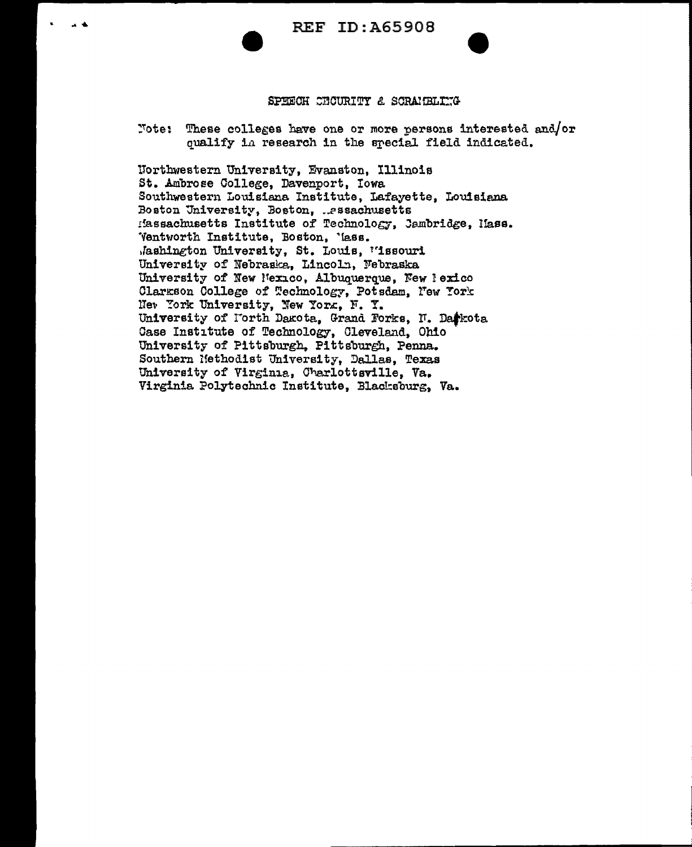## SPEECH CHOURITY & SCRAIGELIKG

Note: These colleges have one or more persons interested and/or qualify in research in the special field indicated.

Northwestern University, Evanston, Illinois St. Ambrose College, Davenport, Iowa Southwestern Louisiana Institute, Lafayette, Louisiana Boston University, Boston, ..essachusetts Massachusetts Institute of Technology, Jambridge, Mass. Ventworth Institute, Boston, 'lass. Jashington University, St. Louis, "issouri University of Nebraska, Lincoln, Nebraska University of New Mexico, Albuquerque, New Pexico Clarkson College of Technology, Potsdam, New York Net York University, New York, F. Y. University of Forth Dakota, Grand Forks, N. Darkota Case Institute of Technology, Cleveland, Ohio University of Pittsburgh, Pittsburgh, Penna. Southern Nethodist University, Dallas, Texas University of Virginia, Charlottsville, Va. Virginia Polytechnic Institute, Blacksburg, Va.